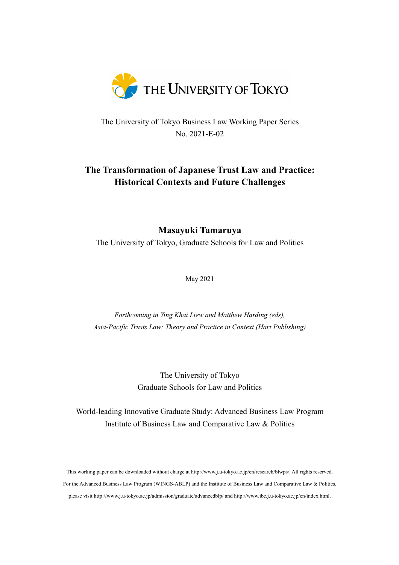

The University of Tokyo Business Law Working Paper Series No. 2021-E-02

# **The Transformation of Japanese Trust Law and Practice: Historical Contexts and Future Challenges**

**Masayuki Tamaruya**

The University of Tokyo, Graduate Schools for Law and Politics

May 2021

*Forthcoming in Ying Khai Liew and Matthew Harding (eds), Asia-Pacific Trusts Law: Theory and Practice in Context (Hart Publishing)*

> The University of Tokyo Graduate Schools for Law and Politics

World-leading Innovative Graduate Study: Advanced Business Law Program Institute of Business Law and Comparative Law & Politics

This working paper can be downloaded without charge at http://www.j.u-tokyo.ac.jp/en/research/blwps/. All rights reserved. For the Advanced Business Law Program (WINGS-ABLP) and the Institute of Business Law and Comparative Law & Politics, please visit http://www.j.u-tokyo.ac.jp/admission/graduate/advancedblp/ and http://www.ibc.j.u-tokyo.ac.jp/en/index.html.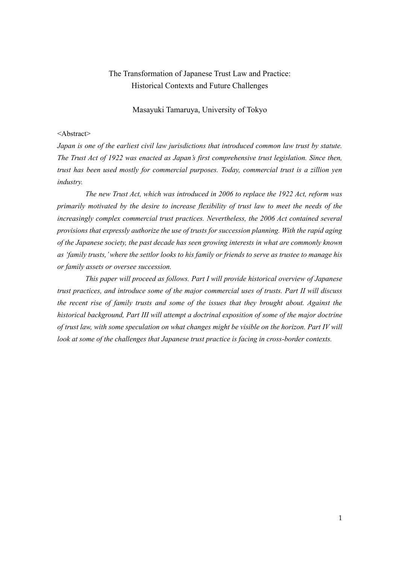## The Transformation of Japanese Trust Law and Practice: Historical Contexts and Future Challenges

## Masayuki Tamaruya, University of Tokyo

#### <Abstract>

*Japan is one of the earliest civil law jurisdictions that introduced common law trust by statute. The Trust Act of 1922 was enacted as Japan's first comprehensive trust legislation. Since then, trust has been used mostly for commercial purposes. Today, commercial trust is a zillion yen industry.*

*The new Trust Act, which was introduced in 2006 to replace the 1922 Act, reform was primarily motivated by the desire to increase flexibility of trust law to meet the needs of the increasingly complex commercial trust practices. Nevertheless, the 2006 Act contained several provisions that expressly authorize the use of trusts for succession planning. With the rapid aging of the Japanese society, the past decade has seen growing interests in what are commonly known as 'family trusts,' where the settlor looks to his family or friends to serve as trustee to manage his or family assets or oversee succession.*

*This paper will proceed as follows. Part I will provide historical overview of Japanese trust practices, and introduce some of the major commercial uses of trusts. Part II will discuss the recent rise of family trusts and some of the issues that they brought about. Against the historical background, Part III will attempt a doctrinal exposition of some of the major doctrine of trust law, with some speculation on what changes might be visible on the horizon. Part IV will look at some of the challenges that Japanese trust practice is facing in cross-border contexts.*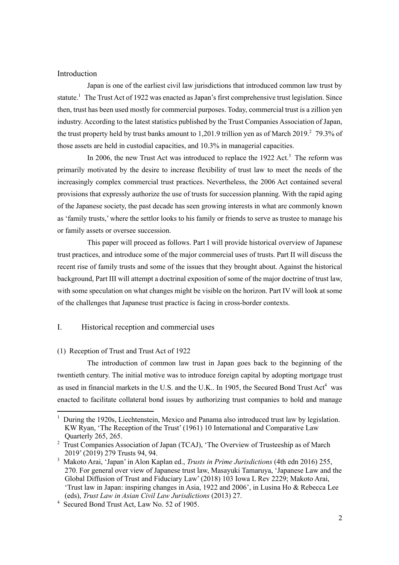#### Introduction

Japan is one of the earliest civil law jurisdictions that introduced common law trust by statute.<sup>1</sup> The Trust Act of 1922 was enacted as Japan's first comprehensive trust legislation. Since then, trust has been used mostly for commercial purposes. Today, commercial trust is a zillion yen industry. According to the latest statistics published by the Trust Companies Association of Japan, the trust property held by trust banks amount to 1,201.9 trillion yen as of March 2019.<sup>2</sup> 79.3% of those assets are held in custodial capacities, and 10.3% in managerial capacities.

In 2006, the new Trust Act was introduced to replace the  $1922$  Act.<sup>3</sup> The reform was primarily motivated by the desire to increase flexibility of trust law to meet the needs of the increasingly complex commercial trust practices. Nevertheless, the 2006 Act contained several provisions that expressly authorize the use of trusts for succession planning. With the rapid aging of the Japanese society, the past decade has seen growing interests in what are commonly known as 'family trusts,' where the settlor looks to his family or friends to serve as trustee to manage his or family assets or oversee succession.

This paper will proceed as follows. Part I will provide historical overview of Japanese trust practices, and introduce some of the major commercial uses of trusts. Part II will discuss the recent rise of family trusts and some of the issues that they brought about. Against the historical background, Part III will attempt a doctrinal exposition of some of the major doctrine of trust law, with some speculation on what changes might be visible on the horizon. Part IV will look at some of the challenges that Japanese trust practice is facing in cross-border contexts.

## I. Historical reception and commercial uses

#### (1) Reception of Trust and Trust Act of 1922

The introduction of common law trust in Japan goes back to the beginning of the twentieth century. The initial motive was to introduce foreign capital by adopting mortgage trust as used in financial markets in the U.S. and the U.K.. In 1905, the Secured Bond Trust  $Act<sup>4</sup>$  was enacted to facilitate collateral bond issues by authorizing trust companies to hold and manage

<sup>&</sup>lt;sup>1</sup> During the 1920s, Liechtenstein, Mexico and Panama also introduced trust law by legislation. KW Ryan, 'The Reception of the Trust' (1961) 10 International and Comparative Law Quarterly 265, 265.

<sup>&</sup>lt;sup>2</sup> Trust Companies Association of Japan (TCAJ), 'The Overview of Trusteeship as of March 2019' (2019) 279 Trusts 94, 94.

<sup>3</sup> Makoto Arai, 'Japan' in Alon Kaplan ed., *Trusts in Prime Jurisdictions* (4th edn 2016) 255, 270. For general over view of Japanese trust law, Masayuki Tamaruya, 'Japanese Law and the Global Diffusion of Trust and Fiduciary Law' (2018) 103 Iowa L Rev 2229; Makoto Arai, 'Trust law in Japan: inspiring changes in Asia, 1922 and 2006', in Lusina Ho & Rebecca Lee (eds), *Trust Law in Asian Civil Law Jurisdictions* (2013) 27.

<sup>4</sup> Secured Bond Trust Act, Law No. 52 of 1905.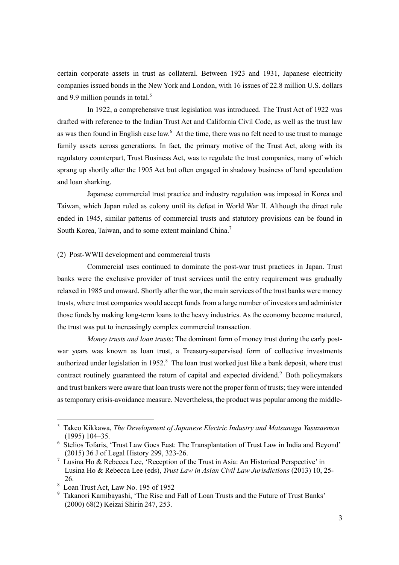certain corporate assets in trust as collateral. Between 1923 and 1931, Japanese electricity companies issued bonds in the New York and London, with 16 issues of 22.8 million U.S. dollars and 9.9 million pounds in total. $5$ 

In 1922, a comprehensive trust legislation was introduced. The Trust Act of 1922 was drafted with reference to the Indian Trust Act and California Civil Code, as well as the trust law as was then found in English case law.<sup>6</sup> At the time, there was no felt need to use trust to manage family assets across generations. In fact, the primary motive of the Trust Act, along with its regulatory counterpart, Trust Business Act, was to regulate the trust companies, many of which sprang up shortly after the 1905 Act but often engaged in shadowy business of land speculation and loan sharking.

Japanese commercial trust practice and industry regulation was imposed in Korea and Taiwan, which Japan ruled as colony until its defeat in World War II. Although the direct rule ended in 1945, similar patterns of commercial trusts and statutory provisions can be found in South Korea, Taiwan, and to some extent mainland China.<sup>7</sup>

## (2) Post-WWII development and commercial trusts

Commercial uses continued to dominate the post-war trust practices in Japan. Trust banks were the exclusive provider of trust services until the entry requirement was gradually relaxed in 1985 and onward. Shortly after the war, the main services of the trust banks were money trusts, where trust companies would accept funds from a large number of investors and administer those funds by making long-term loans to the heavy industries. As the economy become matured, the trust was put to increasingly complex commercial transaction.

*Money trusts and loan trusts*: The dominant form of money trust during the early postwar years was known as loan trust, a Treasury-supervised form of collective investments authorized under legislation in  $1952$ .<sup>8</sup> The loan trust worked just like a bank deposit, where trust contract routinely guaranteed the return of capital and expected dividend.<sup>9</sup> Both policymakers and trust bankers were aware that loan trusts were not the proper form of trusts; they were intended as temporary crisis-avoidance measure. Nevertheless, the product was popular among the middle-

<sup>5</sup> Takeo Kikkawa, *The Development of Japanese Electric Industry and Matsunaga Yasuzaemon* (1995) 104–35.

<sup>6</sup> Stelios Tofaris, 'Trust Law Goes East: The Transplantation of Trust Law in India and Beyond' (2015) 36 J of Legal History 299, 323-26.

 $7$  Lusina Ho & Rebecca Lee, 'Reception of the Trust in Asia: An Historical Perspective' in Lusina Ho & Rebecca Lee (eds), *Trust Law in Asian Civil Law Jurisdictions* (2013) 10, 25- 26.

<sup>8</sup> Loan Trust Act, Law No. 195 of 1952

<sup>9</sup> Takanori Kamibayashi, 'The Rise and Fall of Loan Trusts and the Future of Trust Banks' (2000) 68(2) Keizai Shirin 247, 253.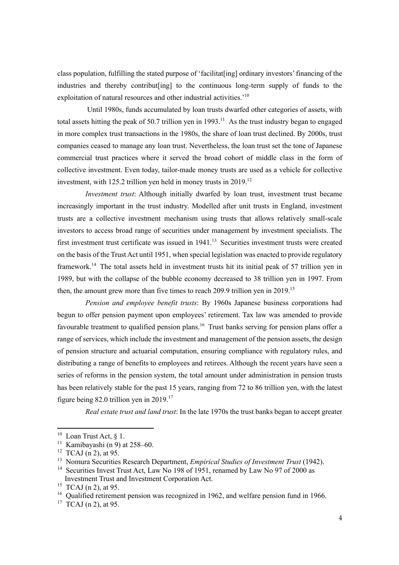class population, fulfilling the stated purpose of 'facilitat[ing] ordinary investors' financing of the industries and thereby contribut[ing] to the continuous long-term supply of funds to the exploitation of natural resources and other industrial activities.'<sup>10</sup>

Until 1980s, funds accumulated by loan trusts dwarfed other categories of assets, with total assets hitting the peak of 50.7 trillion yen in 1993.<sup>11</sup> As the trust industry began to engaged in more complex trust transactions in the 1980s, the share of loan trust declined. By 2000s, trust companies ceased to manage any loan trust. Nevertheless, the loan trust set the tone of Japanese commercial trust practices where it served the broad cohort of middle class in the form of collective investment. Even today, tailor-made money trusts are used as a vehicle for collective investment, with 125.2 trillion yen held in money trusts in 2019.<sup>12</sup>

*Investment trust*: Although initially dwarfed by loan trust, investment trust became increasingly important in the trust industry. Modelled after unit trusts in England, investment trusts are a collective investment mechanism using trusts that allows relatively small-scale investors to access broad range of securities under management by investment specialists. The first investment trust certificate was issued in 1941.<sup>13</sup> Securities investment trusts were created on the basis of the Trust Act until 1951, when special legislation was enacted to provide regulatory framework.<sup>14</sup> The total assets held in investment trusts hit its initial peak of 57 trillion yen in 1989, but with the collapse of the bubble economy decreased to 38 trillion yen in 1997. From then, the amount grew more than five times to reach 209.9 trillion yen in 2019.<sup>15</sup>

*Pension and employee benefit trusts*: By 1960s Japanese business corporations had begun to offer pension payment upon employees' retirement. Tax law was amended to provide favourable treatment to qualified pension plans.<sup>16</sup> Trust banks serving for pension plans offer a range of services, which include the investment and management of the pension assets, the design of pension structure and actuarial computation, ensuring compliance with regulatory rules, and distributing a range of benefits to employees and retirees. Although the recent years have seen a series of reforms in the pension system, the total amount under administration in pension trusts has been relatively stable for the past 15 years, ranging from 72 to 86 trillion yen, with the latest figure being 82.0 trillion yen in  $2019$ <sup>17</sup>

*Real estate trust and land trust*: In the late 1970s the trust banks began to accept greater

<sup>&</sup>lt;sup>10</sup> Loan Trust Act,  $\S$  1.

<sup>&</sup>lt;sup>11</sup> Kamibayashi (n 9) at  $258-60$ .

<sup>&</sup>lt;sup>12</sup> TCAJ (n 2), at 95.

<sup>13</sup> Nomura Securities Research Department, *Empirical Studies of Investment Trust* (1942).

<sup>&</sup>lt;sup>14</sup> Securities Invest Trust Act, Law No 198 of 1951, renamed by Law No 97 of 2000 as Investment Trust and Investment Corporation Act.

<sup>&</sup>lt;sup>15</sup> TCAJ (n 2), at 95.

<sup>&</sup>lt;sup>16</sup> Oualified retirement pension was recognized in 1962, and welfare pension fund in 1966.

 $17$  TCAJ (n 2), at 95.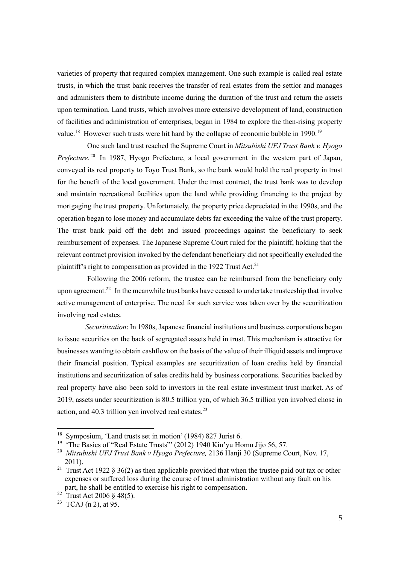varieties of property that required complex management. One such example is called real estate trusts, in which the trust bank receives the transfer of real estates from the settlor and manages and administers them to distribute income during the duration of the trust and return the assets upon termination. Land trusts, which involves more extensive development of land, construction of facilities and administration of enterprises, began in 1984 to explore the then-rising property value.<sup>18</sup> However such trusts were hit hard by the collapse of economic bubble in 1990.<sup>19</sup>

One such land trust reached the Supreme Court in *Mitsubishi UFJ Trust Bank v. Hyogo Prefecture.* <sup>20</sup> In 1987, Hyogo Prefecture, a local government in the western part of Japan, conveyed its real property to Toyo Trust Bank, so the bank would hold the real property in trust for the benefit of the local government. Under the trust contract, the trust bank was to develop and maintain recreational facilities upon the land while providing financing to the project by mortgaging the trust property. Unfortunately, the property price depreciated in the 1990s, and the operation began to lose money and accumulate debts far exceeding the value of the trust property. The trust bank paid off the debt and issued proceedings against the beneficiary to seek reimbursement of expenses. The Japanese Supreme Court ruled for the plaintiff, holding that the relevant contract provision invoked by the defendant beneficiary did not specifically excluded the plaintiff's right to compensation as provided in the 1922 Trust Act.<sup>21</sup>

Following the 2006 reform, the trustee can be reimbursed from the beneficiary only upon agreement.<sup>22</sup> In the meanwhile trust banks have ceased to undertake trusteeship that involve active management of enterprise. The need for such service was taken over by the securitization involving real estates.

*Securitization*: In 1980s, Japanese financial institutions and business corporations began to issue securities on the back of segregated assets held in trust. This mechanism is attractive for businesses wanting to obtain cashflow on the basis of the value of their illiquid assets and improve their financial position. Typical examples are securitization of loan credits held by financial institutions and securitization of sales credits held by business corporations. Securities backed by real property have also been sold to investors in the real estate investment trust market. As of 2019, assets under securitization is 80.5 trillion yen, of which 36.5 trillion yen involved chose in action, and  $40.3$  trillion yen involved real estates.<sup>23</sup>

<sup>18</sup> Symposium, 'Land trusts set in motion' (1984) 827 Jurist 6.

<sup>&</sup>lt;sup>19</sup> 'The Basics of "Real Estate Trusts"' (2012) 1940 Kin'yu Homu Jijo 56, 57.

<sup>20</sup> *Mitsubishi UFJ Trust Bank v Hyogo Prefecture,* 2136 Hanji 30 (Supreme Court, Nov. 17, 2011).

<sup>&</sup>lt;sup>21</sup> Trust Act 1922 § 36(2) as then applicable provided that when the trustee paid out tax or other expenses or suffered loss during the course of trust administration without any fault on his part, he shall be entitled to exercise his right to compensation.

<sup>&</sup>lt;sup>22</sup> Trust Act 2006 § 48(5).

<sup>&</sup>lt;sup>23</sup> TCAJ (n 2), at 95.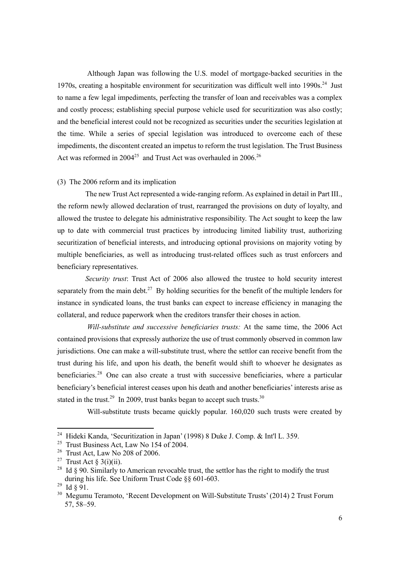Although Japan was following the U.S. model of mortgage-backed securities in the 1970s, creating a hospitable environment for securitization was difficult well into 1990s.<sup>24</sup> Just to name a few legal impediments, perfecting the transfer of loan and receivables was a complex and costly process; establishing special purpose vehicle used for securitization was also costly; and the beneficial interest could not be recognized as securities under the securities legislation at the time. While a series of special legislation was introduced to overcome each of these impediments, the discontent created an impetus to reform the trust legislation. The Trust Business Act was reformed in  $2004^{25}$  and Trust Act was overhauled in  $2006$ .<sup>26</sup>

#### (3) The 2006 reform and its implication

The new Trust Act represented a wide-ranging reform. As explained in detail in Part III., the reform newly allowed declaration of trust, rearranged the provisions on duty of loyalty, and allowed the trustee to delegate his administrative responsibility. The Act sought to keep the law up to date with commercial trust practices by introducing limited liability trust, authorizing securitization of beneficial interests, and introducing optional provisions on majority voting by multiple beneficiaries, as well as introducing trust-related offices such as trust enforcers and beneficiary representatives.

*Security trust*: Trust Act of 2006 also allowed the trustee to hold security interest separately from the main debt.<sup>27</sup> By holding securities for the benefit of the multiple lenders for instance in syndicated loans, the trust banks can expect to increase efficiency in managing the collateral, and reduce paperwork when the creditors transfer their choses in action.

*Will-substitute and successive beneficiaries trusts:* At the same time, the 2006 Act contained provisions that expressly authorize the use of trust commonly observed in common law jurisdictions. One can make a will-substitute trust, where the settlor can receive benefit from the trust during his life, and upon his death, the benefit would shift to whoever he designates as beneficiaries.<sup>28</sup> One can also create a trust with successive beneficiaries, where a particular beneficiary's beneficial interest ceases upon his death and another beneficiaries' interests arise as stated in the trust.<sup>29</sup> In 2009, trust banks began to accept such trusts.<sup>30</sup>

Will-substitute trusts became quickly popular. 160,020 such trusts were created by

<sup>&</sup>lt;sup>24</sup> Hideki Kanda, 'Securitization in Japan' (1998) 8 Duke J. Comp. & Int'l L. 359.

<sup>&</sup>lt;sup>25</sup> Trust Business Act, Law No 154 of 2004.

 $26$  Trust Act, Law No 208 of 2006.

<sup>&</sup>lt;sup>27</sup> Trust Act § 3(i)(ii).

<sup>&</sup>lt;sup>28</sup> Id  $\S$  90. Similarly to American revocable trust, the settlor has the right to modify the trust during his life. See Uniform Trust Code §§ 601-603.

<sup>29</sup> Id § 91.

<sup>&</sup>lt;sup>30</sup> Megumu Teramoto, 'Recent Development on Will-Substitute Trusts' (2014) 2 Trust Forum 57, 58–59.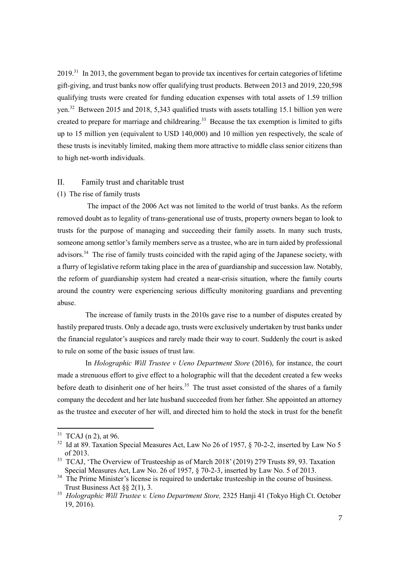$2019<sup>31</sup>$  In 2013, the government began to provide tax incentives for certain categories of lifetime gift-giving, and trust banks now offer qualifying trust products. Between 2013 and 2019, 220,598 qualifying trusts were created for funding education expenses with total assets of 1.59 trillion yen.<sup>32</sup> Between 2015 and 2018, 5,343 qualified trusts with assets totalling 15.1 billion yen were created to prepare for marriage and childrearing.<sup>33</sup> Because the tax exemption is limited to gifts up to 15 million yen (equivalent to USD 140,000) and 10 million yen respectively, the scale of these trusts is inevitably limited, making them more attractive to middle class senior citizens than to high net-worth individuals.

### II. Family trust and charitable trust

## (1) The rise of family trusts

The impact of the 2006 Act was not limited to the world of trust banks. As the reform removed doubt as to legality of trans-generational use of trusts, property owners began to look to trusts for the purpose of managing and succeeding their family assets. In many such trusts, someone among settlor's family members serve as a trustee, who are in turn aided by professional advisors.<sup>34</sup> The rise of family trusts coincided with the rapid aging of the Japanese society, with a flurry of legislative reform taking place in the area of guardianship and succession law. Notably, the reform of guardianship system had created a near-crisis situation, where the family courts around the country were experiencing serious difficulty monitoring guardians and preventing abuse.

The increase of family trusts in the 2010s gave rise to a number of disputes created by hastily prepared trusts. Only a decade ago, trusts were exclusively undertaken by trust banks under the financial regulator's auspices and rarely made their way to court. Suddenly the court is asked to rule on some of the basic issues of trust law.

In *Holographic Will Trustee v Ueno Department Store* (2016), for instance, the court made a strenuous effort to give effect to a holographic will that the decedent created a few weeks before death to disinherit one of her heirs.<sup>35</sup> The trust asset consisted of the shares of a family company the decedent and her late husband succeeded from her father. She appointed an attorney as the trustee and executer of her will, and directed him to hold the stock in trust for the benefit

 $31$  TCAJ (n 2), at 96.

<sup>&</sup>lt;sup>32</sup> Id at 89. Taxation Special Measures Act, Law No 26 of 1957, § 70-2-2, inserted by Law No 5 of 2013.

<sup>&</sup>lt;sup>33</sup> TCAJ, 'The Overview of Trusteeship as of March 2018' (2019) 279 Trusts 89, 93. Taxation Special Measures Act, Law No. 26 of 1957, § 70-2-3, inserted by Law No. 5 of 2013.

 $34$  The Prime Minister's license is required to undertake trusteeship in the course of business. Trust Business Act §§ 2(1), 3.

<sup>35</sup> *Holographic Will Trustee v. Ueno Department Store,* 2325 Hanji 41 (Tokyo High Ct. October 19, 2016).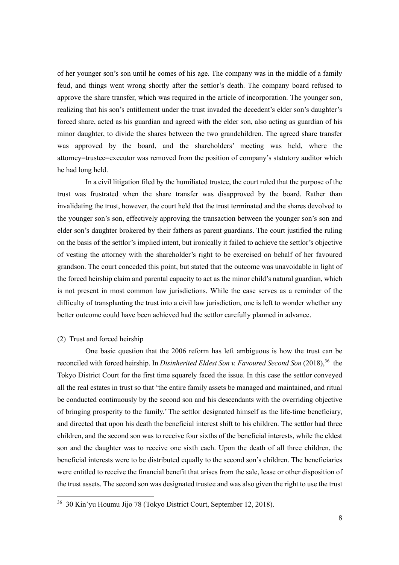of her younger son's son until he comes of his age. The company was in the middle of a family feud, and things went wrong shortly after the settlor's death. The company board refused to approve the share transfer, which was required in the article of incorporation. The younger son, realizing that his son's entitlement under the trust invaded the decedent's elder son's daughter's forced share, acted as his guardian and agreed with the elder son, also acting as guardian of his minor daughter, to divide the shares between the two grandchildren. The agreed share transfer was approved by the board, and the shareholders' meeting was held, where the attorney=trustee=executor was removed from the position of company's statutory auditor which he had long held.

In a civil litigation filed by the humiliated trustee, the court ruled that the purpose of the trust was frustrated when the share transfer was disapproved by the board. Rather than invalidating the trust, however, the court held that the trust terminated and the shares devolved to the younger son's son, effectively approving the transaction between the younger son's son and elder son's daughter brokered by their fathers as parent guardians. The court justified the ruling on the basis of the settlor's implied intent, but ironically it failed to achieve the settlor's objective of vesting the attorney with the shareholder's right to be exercised on behalf of her favoured grandson. The court conceded this point, but stated that the outcome was unavoidable in light of the forced heirship claim and parental capacity to act as the minor child's natural guardian, which is not present in most common law jurisdictions. While the case serves as a reminder of the difficulty of transplanting the trust into a civil law jurisdiction, one is left to wonder whether any better outcome could have been achieved had the settlor carefully planned in advance.

#### (2) Trust and forced heirship

One basic question that the 2006 reform has left ambiguous is how the trust can be reconciled with forced heirship. In *Disinherited Eldest Son v. Favoured Second Son* (2018).<sup>36</sup> the Tokyo District Court for the first time squarely faced the issue. In this case the settlor conveyed all the real estates in trust so that 'the entire family assets be managed and maintained, and ritual be conducted continuously by the second son and his descendants with the overriding objective of bringing prosperity to the family.' The settlor designated himself as the life-time beneficiary, and directed that upon his death the beneficial interest shift to his children. The settlor had three children, and the second son was to receive four sixths of the beneficial interests, while the eldest son and the daughter was to receive one sixth each. Upon the death of all three children, the beneficial interests were to be distributed equally to the second son's children. The beneficiaries were entitled to receive the financial benefit that arises from the sale, lease or other disposition of the trust assets. The second son was designated trustee and was also given the right to use the trust

<sup>36</sup> 30 Kin'yu Houmu Jijo 78 (Tokyo District Court, September 12, 2018).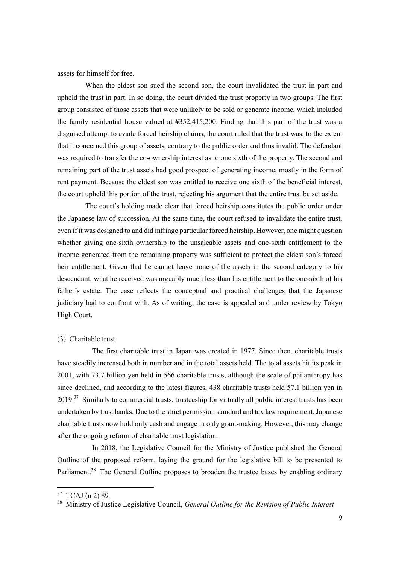assets for himself for free.

When the eldest son sued the second son, the court invalidated the trust in part and upheld the trust in part. In so doing, the court divided the trust property in two groups. The first group consisted of those assets that were unlikely to be sold or generate income, which included the family residential house valued at ¥352,415,200. Finding that this part of the trust was a disguised attempt to evade forced heirship claims, the court ruled that the trust was, to the extent that it concerned this group of assets, contrary to the public order and thus invalid. The defendant was required to transfer the co-ownership interest as to one sixth of the property. The second and remaining part of the trust assets had good prospect of generating income, mostly in the form of rent payment. Because the eldest son was entitled to receive one sixth of the beneficial interest, the court upheld this portion of the trust, rejecting his argument that the entire trust be set aside.

The court's holding made clear that forced heirship constitutes the public order under the Japanese law of succession. At the same time, the court refused to invalidate the entire trust, even if it was designed to and did infringe particular forced heirship. However, one might question whether giving one-sixth ownership to the unsaleable assets and one-sixth entitlement to the income generated from the remaining property was sufficient to protect the eldest son's forced heir entitlement. Given that he cannot leave none of the assets in the second category to his descendant, what he received was arguably much less than his entitlement to the one-sixth of his father's estate. The case reflects the conceptual and practical challenges that the Japanese judiciary had to confront with. As of writing, the case is appealed and under review by Tokyo High Court.

#### (3) Charitable trust

The first charitable trust in Japan was created in 1977. Since then, charitable trusts have steadily increased both in number and in the total assets held. The total assets hit its peak in 2001, with 73.7 billion yen held in 566 charitable trusts, although the scale of philanthropy has since declined, and according to the latest figures, 438 charitable trusts held 57.1 billion yen in  $2019<sup>37</sup>$  Similarly to commercial trusts, trusteeship for virtually all public interest trusts has been undertaken by trust banks. Due to the strict permission standard and tax law requirement, Japanese charitable trusts now hold only cash and engage in only grant-making. However, this may change after the ongoing reform of charitable trust legislation.

In 2018, the Legislative Council for the Ministry of Justice published the General Outline of the proposed reform, laying the ground for the legislative bill to be presented to Parliament.<sup>38</sup> The General Outline proposes to broaden the trustee bases by enabling ordinary

<sup>37</sup> TCAJ (n 2) 89*.*

<sup>38</sup> Ministry of Justice Legislative Council, *General Outline for the Revision of Public Interest*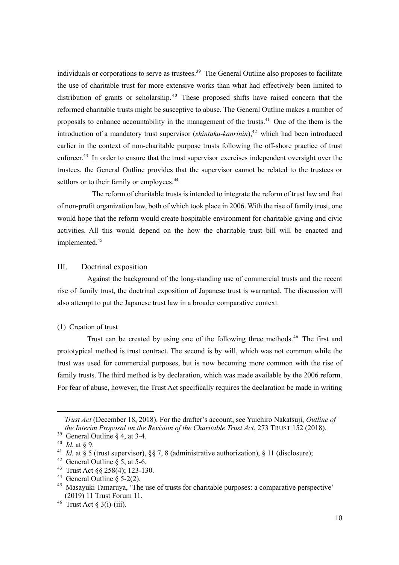individuals or corporations to serve as trustees.<sup>39</sup> The General Outline also proposes to facilitate the use of charitable trust for more extensive works than what had effectively been limited to distribution of grants or scholarship.<sup>40</sup> These proposed shifts have raised concern that the reformed charitable trusts might be susceptive to abuse. The General Outline makes a number of proposals to enhance accountability in the management of the trusts.<sup>41</sup> One of the them is the introduction of a mandatory trust supervisor (*shintaku-kanrinin*),<sup>42</sup> which had been introduced earlier in the context of non-charitable purpose trusts following the off-shore practice of trust enforcer.<sup>43</sup> In order to ensure that the trust supervisor exercises independent oversight over the trustees, the General Outline provides that the supervisor cannot be related to the trustees or settlors or to their family or employees.<sup>44</sup>

The reform of charitable trusts is intended to integrate the reform of trust law and that of non-profit organization law, both of which took place in 2006. With the rise of family trust, one would hope that the reform would create hospitable environment for charitable giving and civic activities. All this would depend on the how the charitable trust bill will be enacted and implemented.<sup>45</sup>

## III. Doctrinal exposition

Against the background of the long-standing use of commercial trusts and the recent rise of family trust, the doctrinal exposition of Japanese trust is warranted. The discussion will also attempt to put the Japanese trust law in a broader comparative context.

## (1) Creation of trust

Trust can be created by using one of the following three methods. <sup>46</sup> The first and prototypical method is trust contract. The second is by will, which was not common while the trust was used for commercial purposes, but is now becoming more common with the rise of family trusts. The third method is by declaration, which was made available by the 2006 reform. For fear of abuse, however, the Trust Act specifically requires the declaration be made in writing

*Trust Act* (December 18, 2018). For the drafter's account, see Yuichiro Nakatsuji, *Outline of the Interim Proposal on the Revision of the Charitable Trust Act*, 273 TRUST 152 (2018).

<sup>&</sup>lt;sup>39</sup> General Outline  $\S$  4, at 3-4.

<sup>40</sup> *Id.* at § 9.

<sup>&</sup>lt;sup>41</sup> *Id.* at § 5 (trust supervisor), §§ 7, 8 (administrative authorization), § 11 (disclosure);

<sup>&</sup>lt;sup>42</sup> General Outline  $\S$  5, at 5-6.

<sup>43</sup> Trust Act §§ 258(4); 123-130.

<sup>&</sup>lt;sup>44</sup> General Outline  $\S$  5-2(2).

<sup>&</sup>lt;sup>45</sup> Masayuki Tamaruya, 'The use of trusts for charitable purposes: a comparative perspective' (2019) 11 Trust Forum 11.

 $46$  Trust Act § 3(i)-(iii).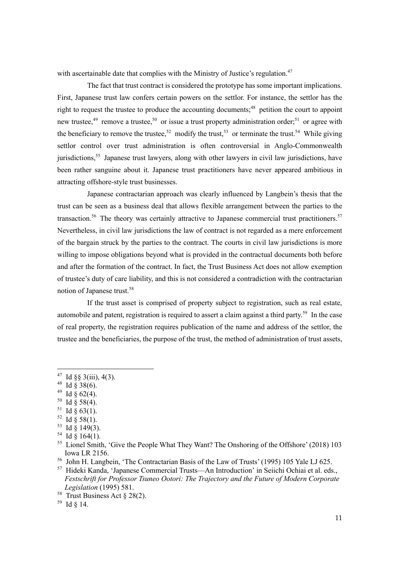with ascertainable date that complies with the Ministry of Justice's regulation.<sup>47</sup>

The fact that trust contract is considered the prototype has some important implications. First, Japanese trust law confers certain powers on the settlor. For instance, the settlor has the right to request the trustee to produce the accounting documents;<sup>48</sup> petition the court to appoint new trustee,<sup>49</sup> remove a trustee,<sup>50</sup> or issue a trust property administration order;<sup>51</sup> or agree with the beneficiary to remove the trustee,<sup>52</sup> modify the trust,<sup>53</sup> or terminate the trust.<sup>54</sup> While giving settlor control over trust administration is often controversial in Anglo-Commonwealth jurisdictions,<sup>55</sup> Japanese trust lawyers, along with other lawyers in civil law jurisdictions, have been rather sanguine about it. Japanese trust practitioners have never appeared ambitious in attracting offshore-style trust businesses.

Japanese contractarian approach was clearly influenced by Langbein's thesis that the trust can be seen as a business deal that allows flexible arrangement between the parties to the transaction.<sup>56</sup> The theory was certainly attractive to Japanese commercial trust practitioners.<sup>57</sup> Nevertheless, in civil law jurisdictions the law of contract is not regarded as a mere enforcement of the bargain struck by the parties to the contract. The courts in civil law jurisdictions is more willing to impose obligations beyond what is provided in the contractual documents both before and after the formation of the contract. In fact, the Trust Business Act does not allow exemption of trustee's duty of care liability, and this is not considered a contradiction with the contractarian notion of Japanese trust.<sup>58</sup>

If the trust asset is comprised of property subject to registration, such as real estate, automobile and patent, registration is required to assert a claim against a third party.<sup>59</sup> In the case of real property, the registration requires publication of the name and address of the settlor, the trustee and the beneficiaries, the purpose of the trust, the method of administration of trust assets,

- $49$  Id § 62(4).
- $50$  Id § 58(4).
- $51$  Id § 63(1).
- $52$  Id § 58(1).
- $53$  Id § 149(3).
- $54$  Id § 164(1).

<sup>&</sup>lt;sup>47</sup> Id §§ 3(iii), 4(3).

<sup>&</sup>lt;sup>48</sup> Id § 38(6).

<sup>&</sup>lt;sup>55</sup> Lionel Smith, 'Give the People What They Want? The Onshoring of the Offshore' (2018) 103 Iowa LR 2156.

<sup>56</sup> John H. Langbein, 'The Contractarian Basis of the Law of Trusts' (1995) 105 Yale LJ 625.

<sup>57</sup> Hideki Kanda, 'Japanese Commercial Trusts—An Introduction' in Seiichi Ochiai et al. eds., *Festschrift for Professor Tsuneo Ootori: The Trajectory and the Future of Modern Corporate Legislation* (1995) 581.

<sup>&</sup>lt;sup>58</sup> Trust Business Act  $\S 28(2)$ .

<sup>59</sup> Id § 14.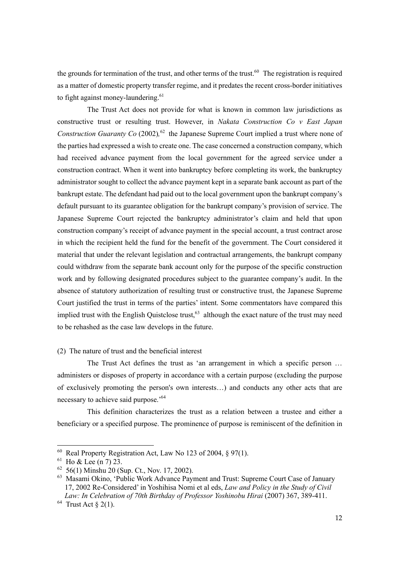the grounds for termination of the trust, and other terms of the trust.<sup>60</sup> The registration is required as a matter of domestic property transfer regime, and it predates the recent cross-border initiatives to fight against money-laundering. $61$ 

The Trust Act does not provide for what is known in common law jurisdictions as constructive trust or resulting trust. However, in *Nakata Construction Co v East Japan Construction Guaranty Co* (2002)*,* <sup>62</sup> the Japanese Supreme Court implied a trust where none of the parties had expressed a wish to create one. The case concerned a construction company, which had received advance payment from the local government for the agreed service under a construction contract. When it went into bankruptcy before completing its work, the bankruptcy administrator sought to collect the advance payment kept in a separate bank account as part of the bankrupt estate. The defendant had paid out to the local government upon the bankrupt company's default pursuant to its guarantee obligation for the bankrupt company's provision of service. The Japanese Supreme Court rejected the bankruptcy administrator's claim and held that upon construction company's receipt of advance payment in the special account, a trust contract arose in which the recipient held the fund for the benefit of the government. The Court considered it material that under the relevant legislation and contractual arrangements, the bankrupt company could withdraw from the separate bank account only for the purpose of the specific construction work and by following designated procedures subject to the guarantee company's audit. In the absence of statutory authorization of resulting trust or constructive trust, the Japanese Supreme Court justified the trust in terms of the parties' intent. Some commentators have compared this implied trust with the English Quistclose trust,  $63$  although the exact nature of the trust may need to be rehashed as the case law develops in the future.

## (2) The nature of trust and the beneficial interest

The Trust Act defines the trust as 'an arrangement in which a specific person … administers or disposes of property in accordance with a certain purpose (excluding the purpose of exclusively promoting the person's own interests…) and conducts any other acts that are necessary to achieve said purpose.' 64

This definition characterizes the trust as a relation between a trustee and either a beneficiary or a specified purpose. The prominence of purpose is reminiscent of the definition in

<sup>&</sup>lt;sup>60</sup> Real Property Registration Act, Law No 123 of 2004,  $§$  97(1).

 $61$  Ho & Lee (n 7) 23.

 $62\,$  56(1) Minshu 20 (Sup. Ct., Nov. 17, 2002).

<sup>63</sup> Masami Okino, 'Public Work Advance Payment and Trust: Supreme Court Case of January 17, 2002 Re-Considered' in Yoshihisa Nomi et al eds, *Law and Policy in the Study of Civil Law: In Celebration of 70th Birthday of Professor Yoshinobu Hirai* (2007) 367, 389-411.

 $64$  Trust Act § 2(1).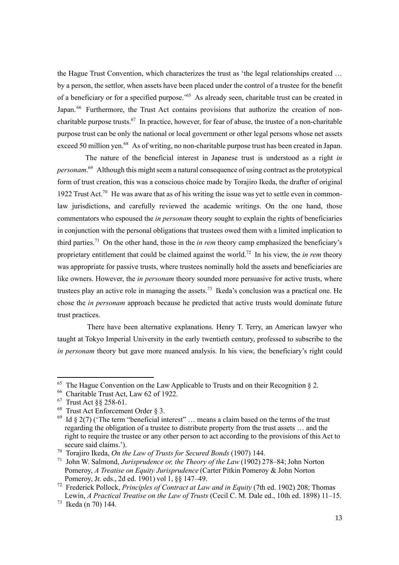the Hague Trust Convention, which characterizes the trust as 'the legal relationships created … by a person, the settlor, when assets have been placed under the control of a trustee for the benefit of a beneficiary or for a specified purpose.<sup>'65</sup> As already seen, charitable trust can be created in Japan.<sup>66</sup> Furthermore, the Trust Act contains provisions that authorize the creation of noncharitable purpose trusts.<sup>67</sup> In practice, however, for fear of abuse, the trustee of a non-charitable purpose trust can be only the national or local government or other legal persons whose net assets exceed 50 million yen.<sup>68</sup> As of writing, no non-charitable purpose trust has been created in Japan.

The nature of the beneficial interest in Japanese trust is understood as a right *in personam*. <sup>69</sup> Although this might seem a natural consequence of using contract as the prototypical form of trust creation, this was a conscious choice made by Torajiro Ikeda, the drafter of original 1922 Trust Act.<sup>70</sup> He was aware that as of his writing the issue was yet to settle even in commonlaw jurisdictions, and carefully reviewed the academic writings. On the one hand, those commentators who espoused the *in personam* theory sought to explain the rights of beneficiaries in conjunction with the personal obligations that trustees owed them with a limited implication to third parties.<sup>71</sup> On the other hand, those in the *in rem* theory camp emphasized the beneficiary's proprietary entitlement that could be claimed against the world.<sup>72</sup> In his view, the *in rem* theory was appropriate for passive trusts, where trustees nominally hold the assets and beneficiaries are like owners. However, the *in personam* theory sounded more persuasive for active trusts, where trustees play an active role in managing the assets.<sup>73</sup> Ikeda's conclusion was a practical one. He chose the *in personam* approach because he predicted that active trusts would dominate future trust practices.

There have been alternative explanations. Henry T. Terry, an American lawyer who taught at Tokyo Imperial University in the early twentieth century, professed to subscribe to the *in personam* theory but gave more nuanced analysis. In his view, the beneficiary's right could

<sup>&</sup>lt;sup>65</sup> The Hague Convention on the Law Applicable to Trusts and on their Recognition  $\S$  2.

<sup>66</sup> Charitable Trust Act, Law 62 of 1922.

<sup>67</sup> Trust Act §§ 258-61.

 $68$  Trust Act Enforcement Order § 3.

 $69$  Id § 2(7) ('The term "beneficial interest" ... means a claim based on the terms of the trust regarding the obligation of a trustee to distribute property from the trust assets … and the right to require the trustee or any other person to act according to the provisions of this Act to secure said claims.').

<sup>70</sup> Torajiro Ikeda, *On the Law of Trusts for Secured Bonds* (1907) 144.

<sup>71</sup> John W. Salmond, *Jurisprudence or, the Theory of the Law* (1902) 278–84; John Norton Pomeroy, *A Treatise on Equity Jurisprudence* (Carter Pitkin Pomeroy & John Norton Pomeroy, Jr. eds., 2d ed. 1901) vol 1, §§ 147–49.

<sup>72</sup> Frederick Pollock, *Principles of Contract at Law and in Equity* (7th ed. 1902) 208; Thomas Lewin, *A Practical Treatise on the Law of Trusts* (Cecil C. M. Dale ed., 10th ed. 1898) 11–15.

<sup>73</sup> Ikeda (n 70) 144.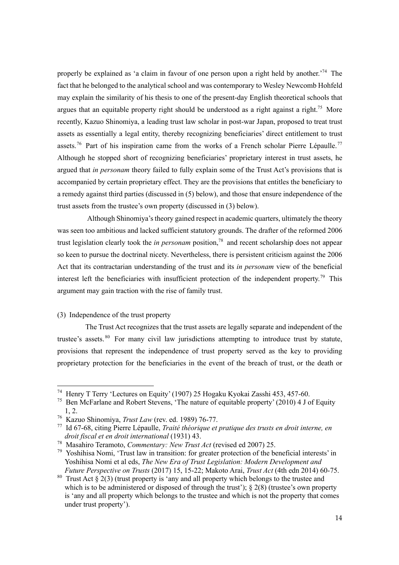properly be explained as 'a claim in favour of one person upon a right held by another.<sup>74</sup> The fact that he belonged to the analytical school and was contemporary to Wesley Newcomb Hohfeld may explain the similarity of his thesis to one of the present-day English theoretical schools that argues that an equitable property right should be understood as a right against a right.<sup>75</sup> More recently, Kazuo Shinomiya, a leading trust law scholar in post-war Japan, proposed to treat trust assets as essentially a legal entity, thereby recognizing beneficiaries' direct entitlement to trust assets.<sup>76</sup> Part of his inspiration came from the works of a French scholar Pierre Lépaulle.<sup>77</sup> Although he stopped short of recognizing beneficiaries' proprietary interest in trust assets, he argued that *in personam* theory failed to fully explain some of the Trust Act's provisions that is accompanied by certain proprietary effect. They are the provisions that entitles the beneficiary to a remedy against third parties (discussed in (5) below), and those that ensure independence of the trust assets from the trustee's own property (discussed in (3) below).

Although Shinomiya's theory gained respect in academic quarters, ultimately the theory was seen too ambitious and lacked sufficient statutory grounds. The drafter of the reformed 2006 trust legislation clearly took the *in personam* position,<sup>78</sup> and recent scholarship does not appear so keen to pursue the doctrinal nicety. Nevertheless, there is persistent criticism against the 2006 Act that its contractarian understanding of the trust and its *in personam* view of the beneficial interest left the beneficiaries with insufficient protection of the independent property.<sup>79</sup> This argument may gain traction with the rise of family trust.

## (3) Independence of the trust property

The Trust Act recognizes that the trust assets are legally separate and independent of the trustee's assets.<sup>80</sup> For many civil law jurisdictions attempting to introduce trust by statute, provisions that represent the independence of trust property served as the key to providing proprietary protection for the beneficiaries in the event of the breach of trust, or the death or

<sup>74</sup> Henry T Terry 'Lectures on Equity' (1907) 25 Hogaku Kyokai Zasshi 453, 457-60.

<sup>&</sup>lt;sup>75</sup> Ben McFarlane and Robert Stevens, 'The nature of equitable property' (2010) 4 J of Equity 1, 2.

<sup>76</sup> Kazuo Shinomiya, *Trust Law* (rev. ed. 1989) 76-77.

<sup>77</sup> Id 67-68, citing Pierre Lépaulle, *Traité théorique et pratique des trusts en droit interne, en droit fiscal et en droit international* (1931) 43.

<sup>78</sup> Masahiro Teramoto, *Commentary: New Trust Act* (revised ed 2007) 25.

 $79$  Yoshihisa Nomi, 'Trust law in transition: for greater protection of the beneficial interests' in Yoshihisa Nomi et al eds, *The New Era of Trust Legislation: Modern Development and Future Perspective on Trusts* (2017) 15, 15-22; Makoto Arai, *Trust Act* (4th edn 2014) 60-75.

<sup>&</sup>lt;sup>80</sup> Trust Act § 2(3) (trust property is 'any and all property which belongs to the trustee and which is to be administered or disposed of through the trust');  $\S$  2(8) (trustee's own property is 'any and all property which belongs to the trustee and which is not the property that comes under trust property').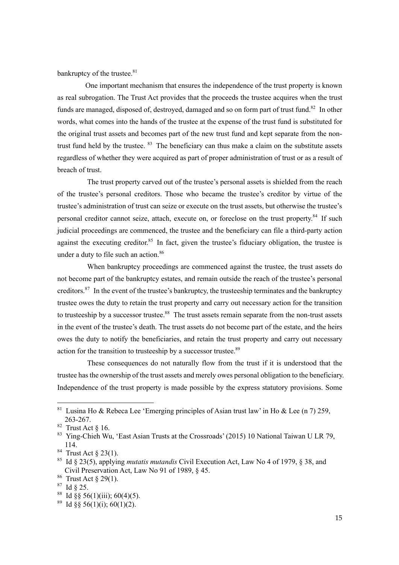bankruptcy of the trustee.<sup>81</sup>

One important mechanism that ensures the independence of the trust property is known as real subrogation. The Trust Act provides that the proceeds the trustee acquires when the trust funds are managed, disposed of, destroyed, damaged and so on form part of trust fund.<sup>82</sup> In other words, what comes into the hands of the trustee at the expense of the trust fund is substituted for the original trust assets and becomes part of the new trust fund and kept separate from the nontrust fund held by the trustee.  $83$  The beneficiary can thus make a claim on the substitute assets regardless of whether they were acquired as part of proper administration of trust or as a result of breach of trust.

The trust property carved out of the trustee's personal assets is shielded from the reach of the trustee's personal creditors. Those who became the trustee's creditor by virtue of the trustee's administration of trust can seize or execute on the trust assets, but otherwise the trustee's personal creditor cannot seize, attach, execute on, or foreclose on the trust property.<sup>84</sup> If such judicial proceedings are commenced, the trustee and the beneficiary can file a third-party action against the executing creditor.<sup>85</sup> In fact, given the trustee's fiduciary obligation, the trustee is under a duty to file such an action.<sup>86</sup>

When bankruptcy proceedings are commenced against the trustee, the trust assets do not become part of the bankruptcy estates, and remain outside the reach of the trustee's personal creditors.<sup>87</sup> In the event of the trustee's bankruptcy, the trusteeship terminates and the bankruptcy trustee owes the duty to retain the trust property and carry out necessary action for the transition to trusteeship by a successor trustee.<sup>88</sup> The trust assets remain separate from the non-trust assets in the event of the trustee's death. The trust assets do not become part of the estate, and the heirs owes the duty to notify the beneficiaries, and retain the trust property and carry out necessary action for the transition to trusteeship by a successor trustee.<sup>89</sup>

These consequences do not naturally flow from the trust if it is understood that the trustee has the ownership of the trust assets and merely owes personal obligation to the beneficiary. Independence of the trust property is made possible by the express statutory provisions. Some

<sup>&</sup>lt;sup>81</sup> Lusina Ho & Rebeca Lee 'Emerging principles of Asian trust law' in Ho & Lee (n 7) 259, 263-267.

 $82$  Trust Act § 16.

<sup>83</sup> Ying-Chieh Wu, 'East Asian Trusts at the Crossroads' (2015) 10 National Taiwan U LR 79, 114.

 $84$  Trust Act  $\S$  23(1).

<sup>85</sup> Id § 23(5), applying *mutatis mutandis* Civil Execution Act, Law No 4 of 1979, § 38, and Civil Preservation Act, Law No 91 of 1989, § 45.

<sup>86</sup> Trust Act § 29(1).

<sup>87</sup> Id § 25.

<sup>&</sup>lt;sup>88</sup> Id §§ 56(1)(iii); 60(4)(5).

 $89$  Id  $88$  56(1)(i); 60(1)(2).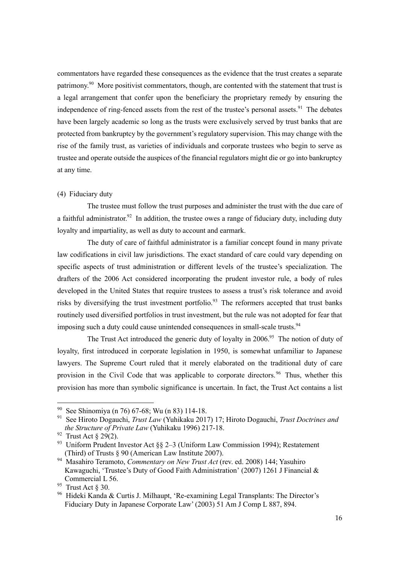commentators have regarded these consequences as the evidence that the trust creates a separate patrimony.<sup>90</sup> More positivist commentators, though, are contented with the statement that trust is a legal arrangement that confer upon the beneficiary the proprietary remedy by ensuring the independence of ring-fenced assets from the rest of the trustee's personal assets.<sup>91</sup> The debates have been largely academic so long as the trusts were exclusively served by trust banks that are protected from bankruptcy by the government's regulatory supervision. This may change with the rise of the family trust, as varieties of individuals and corporate trustees who begin to serve as trustee and operate outside the auspices of the financial regulators might die or go into bankruptcy at any time.

#### (4) Fiduciary duty

The trustee must follow the trust purposes and administer the trust with the due care of a faithful administrator.<sup>92</sup> In addition, the trustee owes a range of fiduciary duty, including duty loyalty and impartiality, as well as duty to account and earmark.

The duty of care of faithful administrator is a familiar concept found in many private law codifications in civil law jurisdictions. The exact standard of care could vary depending on specific aspects of trust administration or different levels of the trustee's specialization. The drafters of the 2006 Act considered incorporating the prudent investor rule, a body of rules developed in the United States that require trustees to assess a trust's risk tolerance and avoid risks by diversifying the trust investment portfolio.<sup>93</sup> The reformers accepted that trust banks routinely used diversified portfolios in trust investment, but the rule was not adopted for fear that imposing such a duty could cause unintended consequences in small-scale trusts.<sup>94</sup>

The Trust Act introduced the generic duty of loyalty in  $2006$ <sup>95</sup>. The notion of duty of loyalty, first introduced in corporate legislation in 1950, is somewhat unfamiliar to Japanese lawyers. The Supreme Court ruled that it merely elaborated on the traditional duty of care provision in the Civil Code that was applicable to corporate directors.<sup>96</sup> Thus, whether this provision has more than symbolic significance is uncertain. In fact, the Trust Act contains a list

<sup>90</sup> See Shinomiya (n 76) 67-68; Wu (n 83) 114-18.

<sup>91</sup> See Hiroto Dogauchi, *Trust Law* (Yuhikaku 2017) 17; Hiroto Dogauchi, *Trust Doctrines and the Structure of Private Law* (Yuhikaku 1996) 217-18.

<sup>&</sup>lt;sup>92</sup> Trust Act  $\S 29(2)$ .

<sup>&</sup>lt;sup>93</sup> Uniform Prudent Investor Act  $\S$  2–3 (Uniform Law Commission 1994); Restatement (Third) of Trusts § 90 (American Law Institute 2007).

<sup>94</sup> Masahiro Teramoto, *Commentary on New Trust Act* (rev. ed. 2008) 144; Yasuhiro Kawaguchi, 'Trustee's Duty of Good Faith Administration' (2007) 1261 J Financial & Commercial L 56.

 $95$  Trust Act  $\S 30$ .

<sup>96</sup> Hideki Kanda & Curtis J. Milhaupt, 'Re-examining Legal Transplants: The Director's Fiduciary Duty in Japanese Corporate Law' (2003) 51 Am J Comp L 887, 894.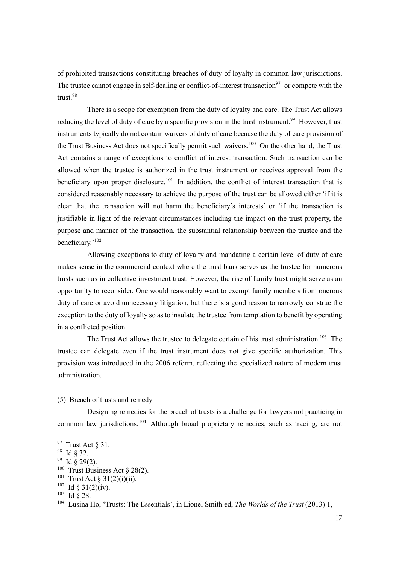of prohibited transactions constituting breaches of duty of loyalty in common law jurisdictions. The trustee cannot engage in self-dealing or conflict-of-interest transaction<sup>97</sup> or compete with the trust.<sup>98</sup>

There is a scope for exemption from the duty of loyalty and care. The Trust Act allows reducing the level of duty of care by a specific provision in the trust instrument.<sup>99</sup> However, trust instruments typically do not contain waivers of duty of care because the duty of care provision of the Trust Business Act does not specifically permit such waivers.<sup>100</sup> On the other hand, the Trust Act contains a range of exceptions to conflict of interest transaction. Such transaction can be allowed when the trustee is authorized in the trust instrument or receives approval from the beneficiary upon proper disclosure.<sup>101</sup> In addition, the conflict of interest transaction that is considered reasonably necessary to achieve the purpose of the trust can be allowed either 'if it is clear that the transaction will not harm the beneficiary's interests' or 'if the transaction is justifiable in light of the relevant circumstances including the impact on the trust property, the purpose and manner of the transaction, the substantial relationship between the trustee and the beneficiary.'<sup>102</sup>

Allowing exceptions to duty of loyalty and mandating a certain level of duty of care makes sense in the commercial context where the trust bank serves as the trustee for numerous trusts such as in collective investment trust. However, the rise of family trust might serve as an opportunity to reconsider. One would reasonably want to exempt family members from onerous duty of care or avoid unnecessary litigation, but there is a good reason to narrowly construe the exception to the duty of loyalty so as to insulate the trustee from temptation to benefit by operating in a conflicted position.

The Trust Act allows the trustee to delegate certain of his trust administration.<sup>103</sup> The trustee can delegate even if the trust instrument does not give specific authorization. This provision was introduced in the 2006 reform, reflecting the specialized nature of modern trust administration.

(5) Breach of trusts and remedy

Designing remedies for the breach of trusts is a challenge for lawyers not practicing in common law jurisdictions.<sup>104</sup> Although broad proprietary remedies, such as tracing, are not

 $97$  Trust Act § 31.

<sup>98</sup> Id § 32.

 $99$  Id § 29(2).

<sup>&</sup>lt;sup>100</sup> Trust Business Act § 28(2).

<sup>&</sup>lt;sup>101</sup> Trust Act § 31(2)(i)(ii).

 $102$  Id § 31(2)(iv).

<sup>103</sup> Id § 28.

<sup>104</sup> Lusina Ho, 'Trusts: The Essentials', in Lionel Smith ed, *The Worlds of the Trust* (2013) 1,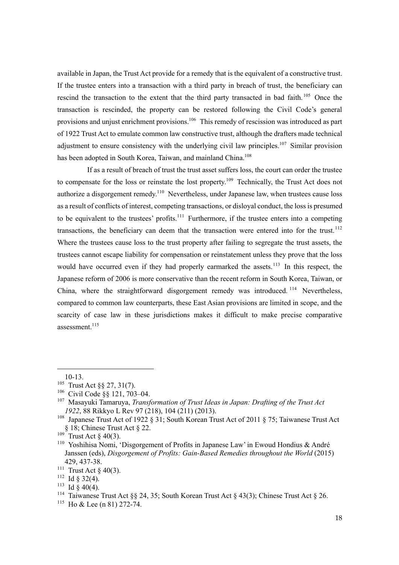available in Japan, the Trust Act provide for a remedy that is the equivalent of a constructive trust. If the trustee enters into a transaction with a third party in breach of trust, the beneficiary can rescind the transaction to the extent that the third party transacted in bad faith.<sup>105</sup> Once the transaction is rescinded, the property can be restored following the Civil Code's general provisions and unjust enrichment provisions.<sup>106</sup> This remedy of rescission was introduced as part of 1922 Trust Act to emulate common law constructive trust, although the drafters made technical adjustment to ensure consistency with the underlying civil law principles.<sup>107</sup> Similar provision has been adopted in South Korea, Taiwan, and mainland China.<sup>108</sup>

If as a result of breach of trust the trust asset suffers loss, the court can order the trustee to compensate for the loss or reinstate the lost property.<sup>109</sup> Technically, the Trust Act does not authorize a disgorgement remedy.<sup>110</sup> Nevertheless, under Japanese law, when trustees cause loss as a result of conflicts of interest, competing transactions, or disloyal conduct, the loss is presumed to be equivalent to the trustees' profits.<sup>111</sup> Furthermore, if the trustee enters into a competing transactions, the beneficiary can deem that the transaction were entered into for the trust.<sup>112</sup> Where the trustees cause loss to the trust property after failing to segregate the trust assets, the trustees cannot escape liability for compensation or reinstatement unless they prove that the loss would have occurred even if they had properly earmarked the assets.<sup>113</sup> In this respect, the Japanese reform of 2006 is more conservative than the recent reform in South Korea, Taiwan, or China, where the straightforward disgorgement remedy was introduced.  $114$  Nevertheless, compared to common law counterparts, these East Asian provisions are limited in scope, and the scarcity of case law in these jurisdictions makes it difficult to make precise comparative assessment. 115

 $115$  Ho & Lee (n 81) 272-74.

<sup>10-13.</sup>

<sup>105</sup> Trust Act §§ 27, 31(7).

<sup>106</sup> Civil Code §§ 121, 703–04.

<sup>107</sup> Masayuki Tamaruya, *Transformation of Trust Ideas in Japan: Drafting of the Trust Act 1922*, 88 Rikkyo L Rev 97 (218), 104 (211) (2013).

<sup>&</sup>lt;sup>108</sup> Japanese Trust Act of 1922 § 31; South Korean Trust Act of 2011 § 75; Taiwanese Trust Act § 18; Chinese Trust Act § 22.

 $109$  Trust Act § 40(3).

<sup>&</sup>lt;sup>110</sup> Yoshihisa Nomi, 'Disgorgement of Profits in Japanese Law' in Ewoud Hondius & André Janssen (eds), *Disgorgement of Profits: Gain-Based Remedies throughout the World* (2015) 429, 437-38.

<sup>&</sup>lt;sup>111</sup> Trust Act § 40(3).

 $112$  Id § 32(4).

 $113$  Id  $\delta$  40(4).

<sup>&</sup>lt;sup>114</sup> Taiwanese Trust Act §§ 24, 35; South Korean Trust Act § 43(3); Chinese Trust Act § 26.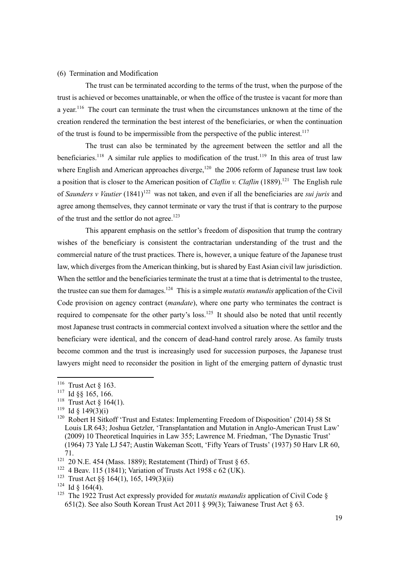#### (6) Termination and Modification

The trust can be terminated according to the terms of the trust, when the purpose of the trust is achieved or becomes unattainable, or when the office of the trustee is vacant for more than a year.<sup>116</sup> The court can terminate the trust when the circumstances unknown at the time of the creation rendered the termination the best interest of the beneficiaries, or when the continuation of the trust is found to be impermissible from the perspective of the public interest.<sup>117</sup>

The trust can also be terminated by the agreement between the settlor and all the beneficiaries.<sup>118</sup> A similar rule applies to modification of the trust.<sup>119</sup> In this area of trust law where English and American approaches diverge, $120$  the 2006 reform of Japanese trust law took a position that is closer to the American position of *Claflin v. Claflin* (1889).<sup>121</sup> The English rule of *Saunders v Vautier* (1841)<sup>122</sup> was not taken, and even if all the beneficiaries are *sui juris* and agree among themselves, they cannot terminate or vary the trust if that is contrary to the purpose of the trust and the settlor do not agree.<sup>123</sup>

This apparent emphasis on the settlor's freedom of disposition that trump the contrary wishes of the beneficiary is consistent the contractarian understanding of the trust and the commercial nature of the trust practices. There is, however, a unique feature of the Japanese trust law, which diverges from the American thinking, but is shared by East Asian civil law jurisdiction. When the settlor and the beneficiaries terminate the trust at a time that is detrimental to the trustee, the trustee can sue them for damages.124 This is a simple *mutatis mutandis* application of the Civil Code provision on agency contract (*mandate*), where one party who terminates the contract is required to compensate for the other party's loss.<sup>125</sup> It should also be noted that until recently most Japanese trust contracts in commercial context involved a situation where the settlor and the beneficiary were identical, and the concern of dead-hand control rarely arose. As family trusts become common and the trust is increasingly used for succession purposes, the Japanese trust lawyers might need to reconsider the position in light of the emerging pattern of dynastic trust

<sup>&</sup>lt;sup>116</sup> Trust Act  $\S$  163.

<sup>117</sup> Id §§ 165, 166.

<sup>&</sup>lt;sup>118</sup> Trust Act § 164(1).

<sup>&</sup>lt;sup>119</sup> Id § 149(3)(i)

<sup>&</sup>lt;sup>120</sup> Robert H Sitkoff 'Trust and Estates: Implementing Freedom of Disposition' (2014) 58 St Louis LR 643; Joshua Getzler, ʻTransplantation and Mutation in Anglo-American Trust Law' (2009) 10 Theoretical Inquiries in Law 355; Lawrence M. Friedman, 'The Dynastic Trust' (1964) 73 Yale LJ 547; Austin Wakeman Scott, 'Fifty Years of Trusts' (1937) 50 Harv LR 60, 71.

<sup>&</sup>lt;sup>121</sup> 20 N.E. 454 (Mass. 1889); Restatement (Third) of Trust § 65.

<sup>&</sup>lt;sup>122</sup> 4 Beav. 115 (1841); Variation of Trusts Act 1958 c 62 (UK).

<sup>&</sup>lt;sup>123</sup> Trust Act  $\S$ § 164(1), 165, 149(3)(ii)

 $124$  Id § 164(4).

<sup>&</sup>lt;sup>125</sup> The 1922 Trust Act expressly provided for *mutatis mutandis* application of Civil Code § 651(2). See also South Korean Trust Act 2011 § 99(3); Taiwanese Trust Act § 63.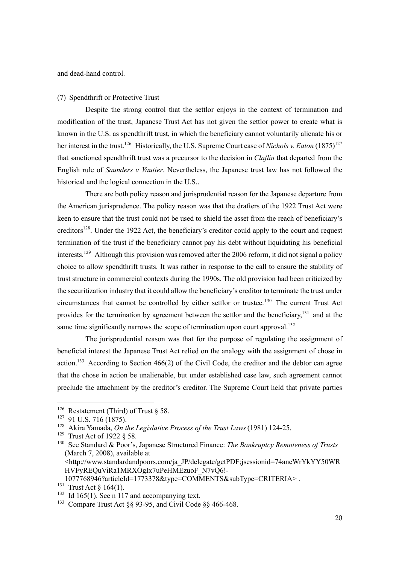and dead-hand control.

#### (7) Spendthrift or Protective Trust

Despite the strong control that the settlor enjoys in the context of termination and modification of the trust, Japanese Trust Act has not given the settlor power to create what is known in the U.S. as spendthrift trust, in which the beneficiary cannot voluntarily alienate his or her interest in the trust.<sup>126</sup> Historically, the U.S. Supreme Court case of *Nichols v. Eaton* (1875)<sup>127</sup> that sanctioned spendthrift trust was a precursor to the decision in *Claflin* that departed from the English rule of *Saunders v Vautier*. Nevertheless, the Japanese trust law has not followed the historical and the logical connection in the U.S..

There are both policy reason and jurisprudential reason for the Japanese departure from the American jurisprudence. The policy reason was that the drafters of the 1922 Trust Act were keen to ensure that the trust could not be used to shield the asset from the reach of beneficiary's creditors<sup>128</sup>. Under the 1922 Act, the beneficiary's creditor could apply to the court and request termination of the trust if the beneficiary cannot pay his debt without liquidating his beneficial interests.<sup>129</sup> Although this provision was removed after the 2006 reform, it did not signal a policy choice to allow spendthrift trusts. It was rather in response to the call to ensure the stability of trust structure in commercial contexts during the 1990s. The old provision had been criticized by the securitization industry that it could allow the beneficiary's creditor to terminate the trust under circumstances that cannot be controlled by either settlor or trustee.<sup>130</sup> The current Trust Act provides for the termination by agreement between the settlor and the beneficiary,<sup>131</sup> and at the same time significantly narrows the scope of termination upon court approval.<sup>132</sup>

The jurisprudential reason was that for the purpose of regulating the assignment of beneficial interest the Japanese Trust Act relied on the analogy with the assignment of chose in action.<sup>133</sup> According to Section 466(2) of the Civil Code, the creditor and the debtor can agree that the chose in action be unalienable, but under established case law, such agreement cannot preclude the attachment by the creditor's creditor. The Supreme Court held that private parties

1077768946?articleId=1773378&type=COMMENTS&subType=CRITERIA> .

<sup>&</sup>lt;sup>126</sup> Restatement (Third) of Trust § 58.

<sup>127</sup> 91 U.S. 716 (1875).

<sup>128</sup> Akira Yamada, *On the Legislative Process of the Trust Laws*(1981) 124-25.

<sup>129</sup> Trust Act of 1922 § 58.

<sup>130</sup> See Standard & Poor's, Japanese Structured Finance: *The Bankruptcy Remoteness of Trusts*  (March 7, 2008), available at

<sup>&</sup>lt;http://www.standardandpoors.com/ja\_JP/delegate/getPDF;jsessionid=74aneWrYkYY50WR HVFyREQuViRa1MRXOgIx7uPeHMEzuoF\_N7vQ6!-

<sup>&</sup>lt;sup>131</sup> Trust Act  $\S 164(1)$ .

 $132$  Id 165(1). See n 117 and accompanying text.

<sup>&</sup>lt;sup>133</sup> Compare Trust Act §§ 93-95, and Civil Code §§ 466-468.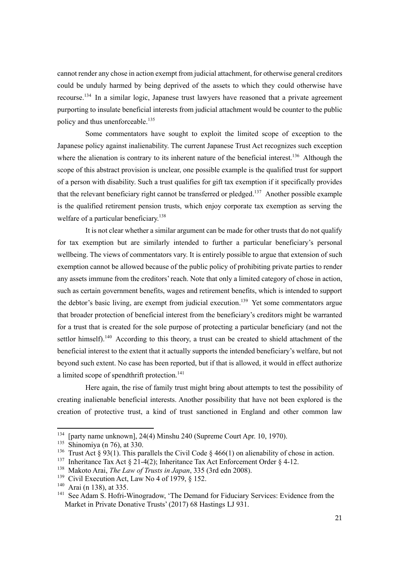cannot render any chose in action exempt from judicial attachment, for otherwise general creditors could be unduly harmed by being deprived of the assets to which they could otherwise have recourse.<sup>134</sup> In a similar logic, Japanese trust lawyers have reasoned that a private agreement purporting to insulate beneficial interests from judicial attachment would be counter to the public policy and thus unenforceable.<sup>135</sup>

Some commentators have sought to exploit the limited scope of exception to the Japanese policy against inalienability. The current Japanese Trust Act recognizes such exception where the alienation is contrary to its inherent nature of the beneficial interest.<sup>136</sup> Although the scope of this abstract provision is unclear, one possible example is the qualified trust for support of a person with disability. Such a trust qualifies for gift tax exemption if it specifically provides that the relevant beneficiary right cannot be transferred or pledged.<sup>137</sup> Another possible example is the qualified retirement pension trusts, which enjoy corporate tax exemption as serving the welfare of a particular beneficiary.<sup>138</sup>

It is not clear whether a similar argument can be made for other trusts that do not qualify for tax exemption but are similarly intended to further a particular beneficiary's personal wellbeing. The views of commentators vary. It is entirely possible to argue that extension of such exemption cannot be allowed because of the public policy of prohibiting private parties to render any assets immune from the creditors' reach. Note that only a limited category of chose in action, such as certain government benefits, wages and retirement benefits, which is intended to support the debtor's basic living, are exempt from judicial execution.<sup>139</sup> Yet some commentators argue that broader protection of beneficial interest from the beneficiary's creditors might be warranted for a trust that is created for the sole purpose of protecting a particular beneficiary (and not the settlor himself).<sup>140</sup> According to this theory, a trust can be created to shield attachment of the beneficial interest to the extent that it actually supports the intended beneficiary's welfare, but not beyond such extent. No case has been reported, but if that is allowed, it would in effect authorize a limited scope of spendthrift protection.<sup>141</sup>

Here again, the rise of family trust might bring about attempts to test the possibility of creating inalienable beneficial interests. Another possibility that have not been explored is the creation of protective trust, a kind of trust sanctioned in England and other common law

<sup>134</sup> [party name unknown], 24(4) Minshu 240 (Supreme Court Apr. 10, 1970).

<sup>135</sup> Shinomiya (n 76), at 330.

<sup>&</sup>lt;sup>136</sup> Trust Act § 93(1). This parallels the Civil Code § 466(1) on alienability of chose in action.

<sup>&</sup>lt;sup>137</sup> Inheritance Tax Act § 21-4(2); Inheritance Tax Act Enforcement Order § 4-12.

<sup>138</sup> Makoto Arai, *The Law of Trusts in Japan*, 335 (3rd edn 2008).

<sup>&</sup>lt;sup>139</sup> Civil Execution Act, Law No 4 of 1979, § 152.

 $140$  Arai (n 138), at 335.

<sup>&</sup>lt;sup>141</sup> See Adam S. Hofri-Winogradow, 'The Demand for Fiduciary Services: Evidence from the Market in Private Donative Trusts' (2017) 68 Hastings LJ 931.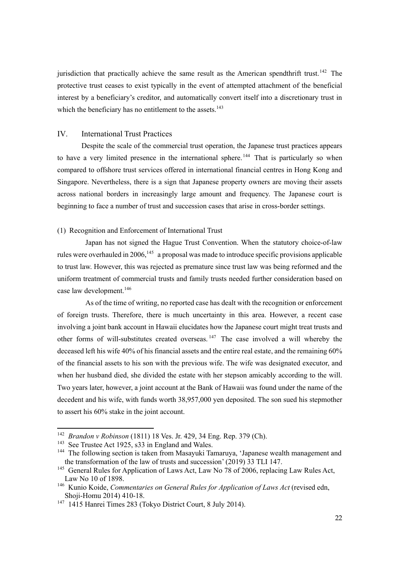jurisdiction that practically achieve the same result as the American spendthrift trust.<sup>142</sup> The protective trust ceases to exist typically in the event of attempted attachment of the beneficial interest by a beneficiary's creditor, and automatically convert itself into a discretionary trust in which the beneficiary has no entitlement to the assets.<sup>143</sup>

#### IV. International Trust Practices

Despite the scale of the commercial trust operation, the Japanese trust practices appears to have a very limited presence in the international sphere.<sup>144</sup> That is particularly so when compared to offshore trust services offered in international financial centres in Hong Kong and Singapore. Nevertheless, there is a sign that Japanese property owners are moving their assets across national borders in increasingly large amount and frequency. The Japanese court is beginning to face a number of trust and succession cases that arise in cross-border settings.

#### (1) Recognition and Enforcement of International Trust

Japan has not signed the Hague Trust Convention. When the statutory choice-of-law rules were overhauled in 2006,  $145$  a proposal was made to introduce specific provisions applicable to trust law. However, this was rejected as premature since trust law was being reformed and the uniform treatment of commercial trusts and family trusts needed further consideration based on case law development.<sup>146</sup>

As of the time of writing, no reported case has dealt with the recognition or enforcement of foreign trusts. Therefore, there is much uncertainty in this area. However, a recent case involving a joint bank account in Hawaii elucidates how the Japanese court might treat trusts and other forms of will-substitutes created overseas. <sup>147</sup> The case involved a will whereby the deceased left his wife 40% of his financial assets and the entire real estate, and the remaining 60% of the financial assets to his son with the previous wife. The wife was designated executor, and when her husband died, she divided the estate with her stepson amicably according to the will. Two years later, however, a joint account at the Bank of Hawaii was found under the name of the decedent and his wife, with funds worth 38,957,000 yen deposited. The son sued his stepmother to assert his 60% stake in the joint account.

<sup>142</sup> *Brandon v Robinson* (1811) 18 Ves. Jr. 429, 34 Eng. Rep. 379 (Ch).

<sup>&</sup>lt;sup>143</sup> See Trustee Act 1925, s33 in England and Wales.

<sup>&</sup>lt;sup>144</sup> The following section is taken from Masayuki Tamaruya, 'Japanese wealth management and the transformation of the law of trusts and succession' (2019) 33 TLI 147.<br><sup>145</sup> General Rules for Application of Laws Act, Law No 78 of 2006, replacing Law Rules Act,

Law No 10 of 1898.

<sup>146</sup> Kunio Koide, *Commentaries on General Rules for Application of Laws Act* (revised edn, Shoji-Homu 2014) 410-18.

<sup>147</sup> 1415 Hanrei Times 283 (Tokyo District Court, 8 July 2014).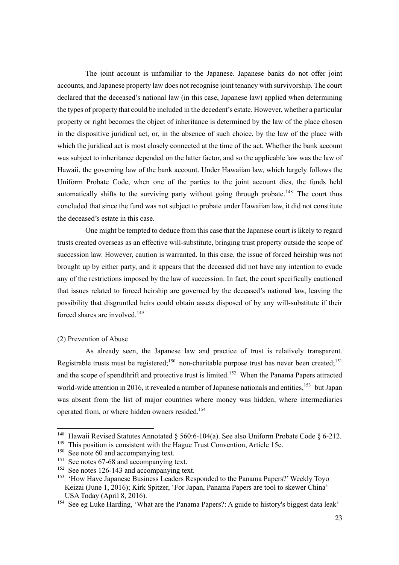The joint account is unfamiliar to the Japanese. Japanese banks do not offer joint accounts, and Japanese property law does not recognise joint tenancy with survivorship. The court declared that the deceased's national law (in this case, Japanese law) applied when determining the types of property that could be included in the decedent's estate. However, whether a particular property or right becomes the object of inheritance is determined by the law of the place chosen in the dispositive juridical act, or, in the absence of such choice, by the law of the place with which the juridical act is most closely connected at the time of the act. Whether the bank account was subject to inheritance depended on the latter factor, and so the applicable law was the law of Hawaii, the governing law of the bank account. Under Hawaiian law, which largely follows the Uniform Probate Code, when one of the parties to the joint account dies, the funds held automatically shifts to the surviving party without going through probate.<sup>148</sup> The court thus concluded that since the fund was not subject to probate under Hawaiian law, it did not constitute the deceased's estate in this case.

One might be tempted to deduce from this case that the Japanese court is likely to regard trusts created overseas as an effective will-substitute, bringing trust property outside the scope of succession law. However, caution is warranted. In this case, the issue of forced heirship was not brought up by either party, and it appears that the deceased did not have any intention to evade any of the restrictions imposed by the law of succession. In fact, the court specifically cautioned that issues related to forced heirship are governed by the deceased's national law, leaving the possibility that disgruntled heirs could obtain assets disposed of by any will-substitute if their forced shares are involved.<sup>149</sup>

#### (2) Prevention of Abuse

As already seen, the Japanese law and practice of trust is relatively transparent. Registrable trusts must be registered;  $150$  non-charitable purpose trust has never been created;  $151$ and the scope of spendthrift and protective trust is limited.<sup>152</sup> When the Panama Papers attracted world-wide attention in 2016, it revealed a number of Japanese nationals and entities,<sup>153</sup> but Japan was absent from the list of major countries where money was hidden, where intermediaries operated from, or where hidden owners resided.154

<sup>&</sup>lt;sup>148</sup> Hawaii Revised Statutes Annotated § 560:6-104(a). See also Uniform Probate Code § 6-212.

<sup>&</sup>lt;sup>149</sup> This position is consistent with the Hague Trust Convention, Article 15c.

<sup>&</sup>lt;sup>150</sup> See note 60 and accompanying text.

<sup>&</sup>lt;sup>151</sup> See notes 67-68 and accompanying text.

<sup>&</sup>lt;sup>152</sup> See notes 126-143 and accompanying text.

<sup>&</sup>lt;sup>153</sup> 'How Have Japanese Business Leaders Responded to the Panama Papers?' Weekly Toyo Keizai (June 1, 2016); Kirk Spitzer, 'For Japan, Panama Papers are tool to skewer China' USA Today (April 8, 2016).

<sup>&</sup>lt;sup>154</sup> See eg Luke Harding, 'What are the Panama Papers?: A guide to history's biggest data leak'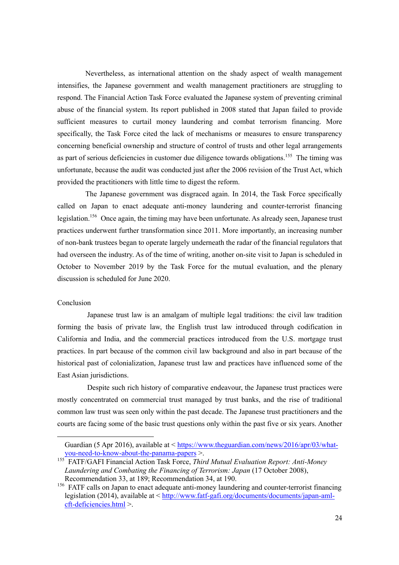Nevertheless, as international attention on the shady aspect of wealth management intensifies, the Japanese government and wealth management practitioners are struggling to respond. The Financial Action Task Force evaluated the Japanese system of preventing criminal abuse of the financial system. Its report published in 2008 stated that Japan failed to provide sufficient measures to curtail money laundering and combat terrorism financing. More specifically, the Task Force cited the lack of mechanisms or measures to ensure transparency concerning beneficial ownership and structure of control of trusts and other legal arrangements as part of serious deficiencies in customer due diligence towards obligations.<sup>155</sup> The timing was unfortunate, because the audit was conducted just after the 2006 revision of the Trust Act, which provided the practitioners with little time to digest the reform.

The Japanese government was disgraced again. In 2014, the Task Force specifically called on Japan to enact adequate anti-money laundering and counter-terrorist financing legislation.<sup>156</sup> Once again, the timing may have been unfortunate. As already seen, Japanese trust practices underwent further transformation since 2011. More importantly, an increasing number of non-bank trustees began to operate largely underneath the radar of the financial regulators that had overseen the industry. As of the time of writing, another on-site visit to Japan is scheduled in October to November 2019 by the Task Force for the mutual evaluation, and the plenary discussion is scheduled for June 2020.

#### Conclusion

Japanese trust law is an amalgam of multiple legal traditions: the civil law tradition forming the basis of private law, the English trust law introduced through codification in California and India, and the commercial practices introduced from the U.S. mortgage trust practices. In part because of the common civil law background and also in part because of the historical past of colonialization, Japanese trust law and practices have influenced some of the East Asian jurisdictions.

Despite such rich history of comparative endeavour, the Japanese trust practices were mostly concentrated on commercial trust managed by trust banks, and the rise of traditional common law trust was seen only within the past decade. The Japanese trust practitioners and the courts are facing some of the basic trust questions only within the past five or six years. Another

Guardian (5 Apr 2016), available at < https://www.theguardian.com/news/2016/apr/03/whatyou-need-to-know-about-the-panama-papers >.

<sup>155</sup> FATF/GAFI Financial Action Task Force, *Third Mutual Evaluation Report: Anti-Money Laundering and Combating the Financing of Terrorism: Japan* (17 October 2008), Recommendation 33, at 189; Recommendation 34, at 190.

<sup>&</sup>lt;sup>156</sup> FATF calls on Japan to enact adequate anti-money laundering and counter-terrorist financing legislation (2014), available at < http://www.fatf-gafi.org/documents/documents/japan-amlcft-deficiencies.html >.